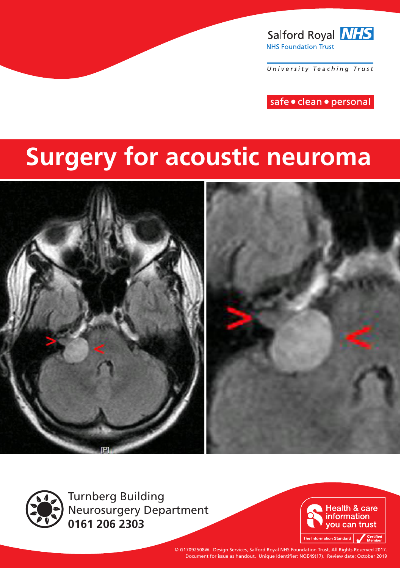

University Teaching Trust

safe · clean · personal

# **Surgery for acoustic neuroma**





Turnberg Building Neurosurgery Department **0161 206 2303**



© G17092508W. Design Services, Salford Royal NHS Foundation Trust, All Rights Reserved 2017. Document for issue as handout. Unique Identifier: NOE49(17). Review date: October 2019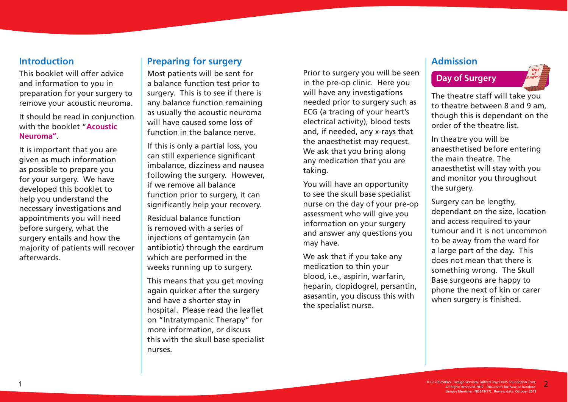#### **Introduction**

This booklet will offer advice and information to you in preparation for your surgery to remove your acoustic neuroma.

It should be read in conjunction with the booklet "**Acoustic Neuroma"**.

It is important that you are given as much information as possible to prepare you for your surgery. We have developed this booklet to help you understand the necessary investigations and appointments you will need before surgery, what the surgery entails and how the majority of patients will recover afterwards.

# **Preparing for surgery**

Most patients will be sent for a balance function test prior to surgery. This is to see if there is any balance function remaining as usually the acoustic neuroma will have caused some loss of function in the balance nerve.

If this is only a partial loss, you can still experience significant imbalance, dizziness and nausea following the surgery. However, if we remove all balance function prior to surgery, it can significantly help your recovery.

Residual balance function is removed with a series of injections of gentamycin (an antibiotic) through the eardrum which are performed in the weeks running up to surgery.

This means that you get moving again quicker after the surgery and have a shorter stay in hospital. Please read the leaflet on "Intratympanic Therapy" for more information, or discuss this with the skull base specialist nurses.

Prior to surgery you will be seen **Day of Surgery** in the pre-op clinic. Here you will have any investigations needed prior to surgery such as ECG (a tracing of your heart's electrical activity), blood tests and, if needed, any x-rays that the anaesthetist may request. We ask that you bring along any medication that you are taking.

You will have an opportunity to see the skull base specialist nurse on the day of your pre-op assessment who will give you information on your surgery and answer any questions you may have.

We ask that if you take any medication to thin your blood, i.e., aspirin, warfarin, heparin, clopidogrel, persantin, asasantin, you discuss this with the specialist nurse.

#### **Admission**

The theatre staff will take you to theatre between 8 and 9 am, though this is dependant on the order of the theatre list.

In theatre you will be anaesthetised before entering the main theatre. The anaesthetist will stay with you and monitor you throughout the surgery.

Surgery can be lengthy, dependant on the size, location and access required to your tumour and it is not uncommon to be away from the ward for a large part of the day. This does not mean that there is something wrong. The Skull Base surgeons are happy to phone the next of kin or carer when surgery is finished.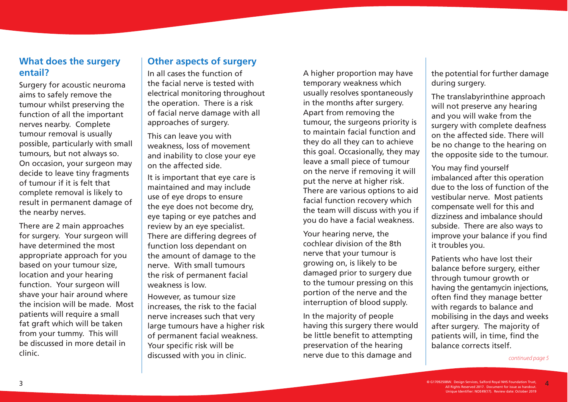### **What does the surgery entail?**

Surgery for acoustic neuroma aims to safely remove the tumour whilst preserving the function of all the important nerves nearby. Complete tumour removal is usually possible, particularly with small tumours, but not always so. On occasion, your surgeon may decide to leave tiny fragments of tumour if it is felt that complete removal is likely to result in permanent damage of the nearby nerves.

There are 2 main approaches for surgery. Your surgeon will have determined the most appropriate approach for you based on your tumour size, location and your hearing function. Your surgeon will shave your hair around where the incision will be made. Most patients will require a small fat graft which will be taken from your tummy. This will be discussed in more detail in clinic.

### **Other aspects of surgery**

In all cases the function of the facial nerve is tested with electrical monitoring throughout the operation. There is a risk of facial nerve damage with all approaches of surgery.

This can leave you with weakness, loss of movement and inability to close your eye on the affected side.

It is important that eye care is maintained and may include use of eye drops to ensure the eye does not become dry, eye taping or eye patches and review by an eye specialist. There are differing degrees of function loss dependant on the amount of damage to the nerve. With small tumours the risk of permanent facial weakness is low.

However, as tumour size increases, the risk to the facial nerve increases such that very large tumours have a higher risk of permanent facial weakness. Your specific risk will be discussed with you in clinic.

A higher proportion may have temporary weakness which usually resolves spontaneously in the months after surgery. Apart from removing the tumour, the surgeons priority is to maintain facial function and they do all they can to achieve this goal. Occasionally, they may leave a small piece of tumour on the nerve if removing it will put the nerve at higher risk. There are various options to aid facial function recovery which the team will discuss with you if you do have a facial weakness.

Your hearing nerve, the cochlear division of the 8th nerve that your tumour is growing on, is likely to be damaged prior to surgery due to the tumour pressing on this portion of the nerve and the interruption of blood supply.

In the majority of people having this surgery there would be little benefit to attempting preservation of the hearing nerve due to this damage and

the potential for further damage during surgery.

The translabyrinthine approach will not preserve any hearing and you will wake from the surgery with complete deafness on the affected side. There will be no change to the hearing on the opposite side to the tumour.

You may find yourself imbalanced after this operation due to the loss of function of the vestibular nerve. Most patients compensate well for this and dizziness and imbalance should subside. There are also ways to improve your balance if you find it troubles you.

Patients who have lost their balance before surgery, either through tumour growth or having the gentamycin injections, often find they manage better with regards to balance and mobilising in the days and weeks after surgery. The majority of patients will, in time, find the balance corrects itself.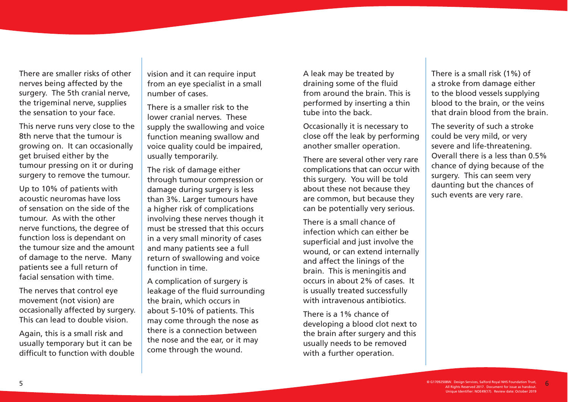There are smaller risks of other nerves being affected by the surgery. The 5th cranial nerve, the trigeminal nerve, supplies the sensation to your face.

This nerve runs very close to the 8th nerve that the tumour is growing on. It can occasionally get bruised either by the tumour pressing on it or during surgery to remove the tumour.

Up to 10% of patients with acoustic neuromas have loss of sensation on the side of the tumour. As with the other nerve functions, the degree of function loss is dependant on the tumour size and the amount of damage to the nerve. Many patients see a full return of facial sensation with time.

The nerves that control eye movement (not vision) are occasionally affected by surgery. This can lead to double vision.

Again, this is a small risk and usually temporary but it can be difficult to function with double vision and it can require input from an eye specialist in a small number of cases.

There is a smaller risk to the lower cranial nerves. These supply the swallowing and voice function meaning swallow and voice quality could be impaired, usually temporarily.

The risk of damage either through tumour compression or damage during surgery is less than 3%. Larger tumours have a higher risk of complications involving these nerves though it must be stressed that this occurs in a very small minority of cases and many patients see a full return of swallowing and voice function in time.

A complication of surgery is leakage of the fluid surrounding the brain, which occurs in about 5-10% of patients. This may come through the nose as there is a connection between the nose and the ear, or it may come through the wound.

A leak may be treated by draining some of the fluid from around the brain. This is performed by inserting a thin tube into the back.

Occasionally it is necessary to close off the leak by performing another smaller operation.

There are several other very rare complications that can occur with this surgery. You will be told about these not because they are common, but because they can be potentially very serious.

There is a small chance of infection which can either be superficial and just involve the wound, or can extend internally and affect the linings of the brain. This is meningitis and occurs in about 2% of cases. It is usually treated successfully with intravenous antibiotics.

There is a 1% chance of developing a blood clot next to the brain after surgery and this usually needs to be removed with a further operation.

There is a small risk (1%) of a stroke from damage either to the blood vessels supplying blood to the brain, or the veins that drain blood from the brain.

The severity of such a stroke could be very mild, or very severe and life-threatening. Overall there is a less than 0.5% chance of dying because of the surgery. This can seem very daunting but the chances of such events are very rare.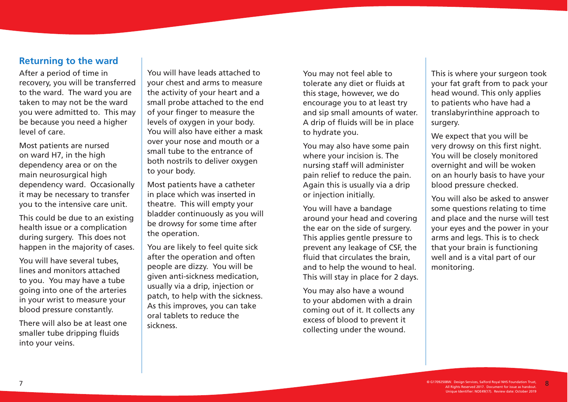#### **Returning to the ward**

After a period of time in recovery, you will be transferred to the ward. The ward you are taken to may not be the ward you were admitted to. This may be because you need a higher level of care.

Most patients are nursed on ward H7, in the high dependency area or on the main neurosurgical high dependency ward. Occasionally it may be necessary to transfer you to the intensive care unit.

This could be due to an existing health issue or a complication during surgery. This does not happen in the majority of cases.

You will have several tubes, lines and monitors attached to you. You may have a tube going into one of the arteries in your wrist to measure your blood pressure constantly.

There will also be at least one smaller tube dripping fluids into your veins.

You will have leads attached to your chest and arms to measure the activity of your heart and a small probe attached to the end of your finger to measure the levels of oxygen in your body. You will also have either a mask over your nose and mouth or a small tube to the entrance of both nostrils to deliver oxygen to your body.

Most patients have a catheter in place which was inserted in theatre. This will empty your bladder continuously as you will be drowsy for some time after the operation.

You are likely to feel quite sick after the operation and often people are dizzy. You will be given anti-sickness medication, usually via a drip, injection or patch, to help with the sickness. As this improves, you can take oral tablets to reduce the sickness.

You may not feel able to tolerate any diet or fluids at this stage, however, we do encourage you to at least try and sip small amounts of water. A drip of fluids will be in place to hydrate you.

You may also have some pain where your incision is. The nursing staff will administer pain relief to reduce the pain. Again this is usually via a drip or injection initially.

You will have a bandage around your head and covering the ear on the side of surgery. This applies gentle pressure to prevent any leakage of CSF, the fluid that circulates the brain, and to help the wound to heal. This will stay in place for 2 days.

You may also have a wound to your abdomen with a drain coming out of it. It collects any excess of blood to prevent it collecting under the wound.

This is where your surgeon took your fat graft from to pack your head wound. This only applies to patients who have had a translabyrinthine approach to surgery.

We expect that you will be very drowsy on this first night. You will be closely monitored overnight and will be woken on an hourly basis to have your blood pressure checked.

You will also be asked to answer some questions relating to time and place and the nurse will test your eyes and the power in your arms and legs. This is to check that your brain is functioning well and is a vital part of our monitoring.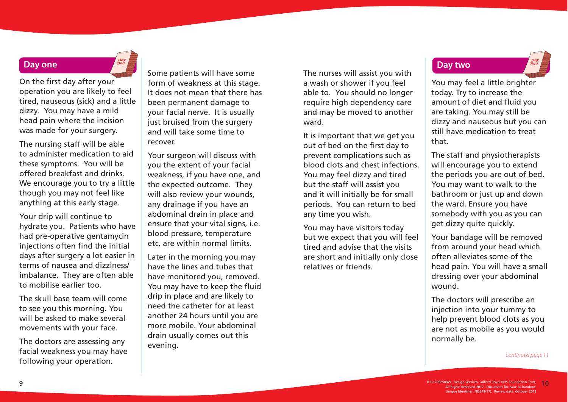#### **Day one**

On the first day after your operation you are likely to feel tired, nauseous (sick) and a little dizzy. You may have a mild head pain where the incision was made for your surgery.

The nursing staff will be able to administer medication to aid these symptoms. You will be offered breakfast and drinks. We encourage you to try a little though you may not feel like anything at this early stage.

Your drip will continue to hydrate you. Patients who have had pre-operative gentamycin injections often find the initial days after surgery a lot easier in terms of nausea and dizziness/ imbalance. They are often able to mobilise earlier too.

The skull base team will come to see you this morning. You will be asked to make several movements with your face.

The doctors are assessing any facial weakness you may have following your operation.

Some patients will have some form of weakness at this stage. It does not mean that there has been permanent damage to your facial nerve. It is usually just bruised from the surgery and will take some time to recover.

Your surgeon will discuss with you the extent of your facial weakness, if you have one, and the expected outcome. They will also review your wounds, any drainage if you have an abdominal drain in place and ensure that your vital signs, i.e. blood pressure, temperature etc, are within normal limits.

Later in the morning you may have the lines and tubes that have monitored you, removed. You may have to keep the fluid drip in place and are likely to need the catheter for at least another 24 hours until you are more mobile. Your abdominal drain usually comes out this evening.

The nurses will assist you with a wash or shower if you feel able to. You should no longer require high dependency care and may be moved to another ward.

It is important that we get you out of bed on the first day to prevent complications such as blood clots and chest infections. You may feel dizzy and tired but the staff will assist you and it will initially be for small periods. You can return to bed any time you wish.

You may have visitors today but we expect that you will feel tired and advise that the visits are short and initially only close relatives or friends.

#### **Day two**

You may feel a little brighter today. Try to increase the amount of diet and fluid you are taking. You may still be dizzy and nauseous but you can still have medication to treat that.

The staff and physiotherapists will encourage you to extend the periods you are out of bed. You may want to walk to the bathroom or just up and down the ward. Ensure you have somebody with you as you can get dizzy quite quickly.

Your bandage will be removed from around your head which often alleviates some of the head pain. You will have a small dressing over your abdominal wound.

The doctors will prescribe an injection into your tummy to help prevent blood clots as you are not as mobile as you would normally be.

continued page 11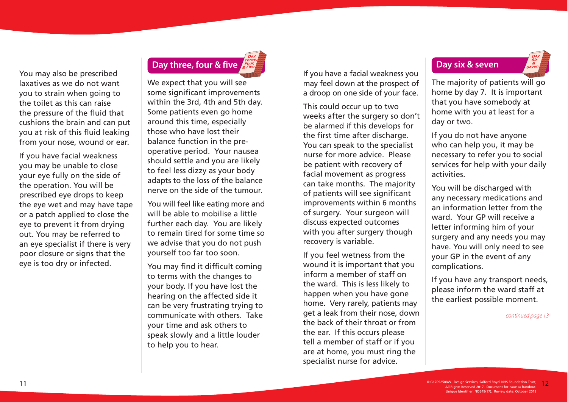You may also be prescribed laxatives as we do not want you to strain when going to the toilet as this can raise the pressure of the fluid that cushions the brain and can put you at risk of this fluid leaking from your nose, wound or ear.

If you have facial weakness you may be unable to close your eye fully on the side of the operation. You will be prescribed eye drops to keep the eye wet and may have tape or a patch applied to close the eye to prevent it from drying out. You may be referred to an eye specialist if there is very poor closure or signs that the eye is too dry or infected.

# **Day three, four & five**

We expect that you will see some significant improvements within the 3rd, 4th and 5th day. Some patients even go home around this time, especially those who have lost their balance function in the preoperative period. Your nausea should settle and you are likely to feel less dizzy as your body adapts to the loss of the balance nerve on the side of the tumour.

You will feel like eating more and will be able to mobilise a little further each day. You are likely to remain tired for some time so we advise that you do not push yourself too far too soon.

You may find it difficult coming to terms with the changes to your body. If you have lost the hearing on the affected side it can be very frustrating trying to communicate with others. Take your time and ask others to speak slowly and a little louder to help you to hear.

If you have a facial weakness you may feel down at the prospect of a droop on one side of your face.

This could occur up to two weeks after the surgery so don't be alarmed if this develops for the first time after discharge. You can speak to the specialist nurse for more advice. Please be patient with recovery of facial movement as progress can take months. The majority of patients will see significant improvements within 6 months of surgery. Your surgeon will discuss expected outcomes with you after surgery though recovery is variable.

If you feel wetness from the wound it is important that you inform a member of staff on the ward. This is less likely to happen when you have gone home. Very rarely, patients may get a leak from their nose, down the back of their throat or from the ear. If this occurs please tell a member of staff or if you are at home, you must ring the specialist nurse for advice.

#### **Day six & seven**

The majority of patients will go home by day 7. It is important that you have somebody at home with you at least for a day or two.

If you do not have anyone who can help you, it may be necessary to refer you to social services for help with your daily activities.

You will be discharged with any necessary medications and an information letter from the ward. Your GP will receive a letter informing him of your surgery and any needs you may have. You will only need to see your GP in the event of any complications.

If you have any transport needs, please inform the ward staff at the earliest possible moment.

continued page 13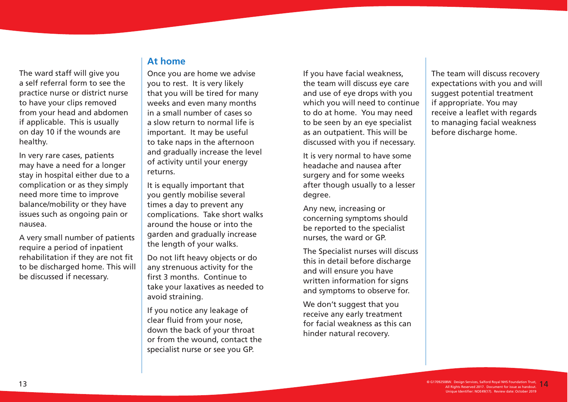The ward staff will give you a self referral form to see the practice nurse or district nurse to have your clips removed from your head and abdomen if applicable. This is usually on day 10 if the wounds are healthy.

In very rare cases, patients may have a need for a longer stay in hospital either due to a complication or as they simply need more time to improve balance/mobility or they have issues such as ongoing pain or nausea.

A very small number of patients require a period of inpatient rehabilitation if they are not fit to be discharged home. This will be discussed if necessary.

#### **At home**

Once you are home we advise you to rest. It is very likely that you will be tired for many weeks and even many months in a small number of cases so a slow return to normal life is important. It may be useful to take naps in the afternoon and gradually increase the level of activity until your energy returns.

It is equally important that you gently mobilise several times a day to prevent any complications. Take short walks around the house or into the garden and gradually increase the length of your walks.

Do not lift heavy objects or do any strenuous activity for the first 3 months. Continue to take your laxatives as needed to avoid straining.

If you notice any leakage of clear fluid from your nose, down the back of your throat or from the wound, contact the specialist nurse or see you GP.

If you have facial weakness, the team will discuss eye care and use of eye drops with you which you will need to continue to do at home. You may need to be seen by an eye specialist as an outpatient. This will be discussed with you if necessary.

It is very normal to have some headache and nausea after surgery and for some weeks after though usually to a lesser degree.

Any new, increasing or concerning symptoms should be reported to the specialist nurses, the ward or GP.

The Specialist nurses will discuss this in detail before discharge and will ensure you have written information for signs and symptoms to observe for.

We don't suggest that you receive any early treatment for facial weakness as this can hinder natural recovery.

The team will discuss recovery expectations with you and will suggest potential treatment if appropriate. You may receive a leaflet with regards to managing facial weakness before discharge home.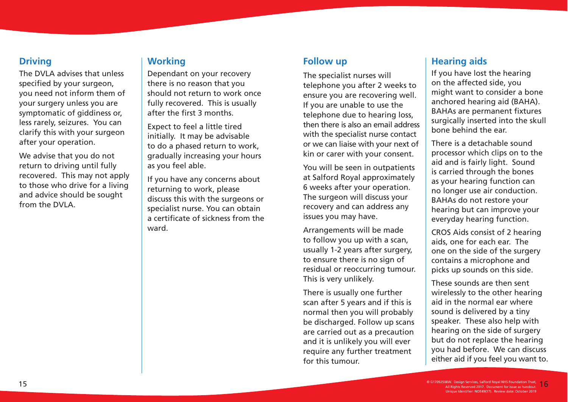# **Driving**

The DVLA advises that unless specified by your surgeon, you need not inform them of your surgery unless you are symptomatic of giddiness or, less rarely, seizures. You can clarify this with your surgeon after your operation.

We advise that you do not return to driving until fully recovered. This may not apply to those who drive for a living and advice should be sought from the DVLA.

# **Working**

Dependant on your recovery there is no reason that you should not return to work once fully recovered. This is usually after the first 3 months.

Expect to feel a little tired initially. It may be advisable to do a phased return to work, gradually increasing your hours as you feel able.

If you have any concerns about returning to work, please discuss this with the surgeons or specialist nurse. You can obtain a certificate of sickness from the ward.

#### **Follow up**

The specialist nurses will telephone you after 2 weeks to ensure you are recovering well. If you are unable to use the telephone due to hearing loss, then there is also an email address with the specialist nurse contact or we can liaise with your next of kin or carer with your consent.

You will be seen in outpatients at Salford Royal approximately 6 weeks after your operation. The surgeon will discuss your recovery and can address any issues you may have.

Arrangements will be made to follow you up with a scan, usually 1-2 years after surgery, to ensure there is no sign of residual or reoccurring tumour. This is very unlikely.

There is usually one further scan after 5 years and if this is normal then you will probably be discharged. Follow up scans are carried out as a precaution and it is unlikely you will ever require any further treatment for this tumour.

# **Hearing aids**

If you have lost the hearing on the affected side, you might want to consider a bone anchored hearing aid (BAHA). BAHAs are permanent fixtures surgically inserted into the skull bone behind the ear.

There is a detachable sound processor which clips on to the aid and is fairly light. Sound is carried through the bones as your hearing function can no longer use air conduction. BAHAs do not restore your hearing but can improve your everyday hearing function.

CROS Aids consist of 2 hearing aids, one for each ear. The one on the side of the surgery contains a microphone and picks up sounds on this side.

These sounds are then sent wirelessly to the other hearing aid in the normal ear where sound is delivered by a tiny speaker. These also help with hearing on the side of surgery but do not replace the hearing you had before. We can discuss either aid if you feel you want to.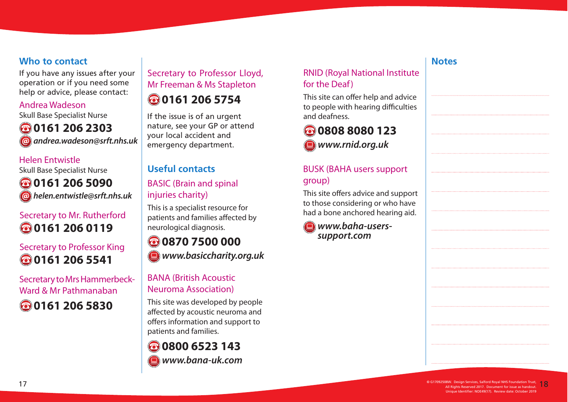# **Who to contact**

If you have any issues after your operation or if you need some help or advice, please contact:

#### Andrea Wadeson

Skull Base Specialist Nurse

**0161 206 2303 andrea.wadeson@srft.nhs.uk**

Helen Entwistle Skull Base Specialist Nurse **0161 206 5090 helen.entwistle@srft.nhs.uk**

# Secretary to Mr. Rutherford **0161 206 0119**

# Secretary to Professor King **0161 206 5541**

Secretary to Mrs Hammerbeck-Ward & Mr Pathmanaban **0161 206 5830**

# Secretary to Professor Lloyd, Mr Freeman & Ms Stapleton

# **0161 206 5754**

If the issue is of an urgent nature, see your GP or attend your local accident and emergency department.

# **Useful contacts**

# BASIC (Brain and spinal injuries charity)

This is a specialist resource for patients and families affected by neurological diagnosis.

# **www.basiccharity.org.uk 0870 7500 000**

# BANA (British Acoustic Neuroma Association)

This site was developed by people affected by acoustic neuroma and offers information and support to patients and families.

# **www.bana-uk.com 0800 6523 143**

# RNID (Royal National Institute for the Deaf)

This site can offer help and advice to people with hearing difficulties and deafness.

**www.rnid.org.uk 0808 8080 123**

# BUSK (BAHA users support group)

This site offers advice and support to those considering or who have had a bone anchored hearing aid.

**www.baha-userssupport.com**

# **Notes**